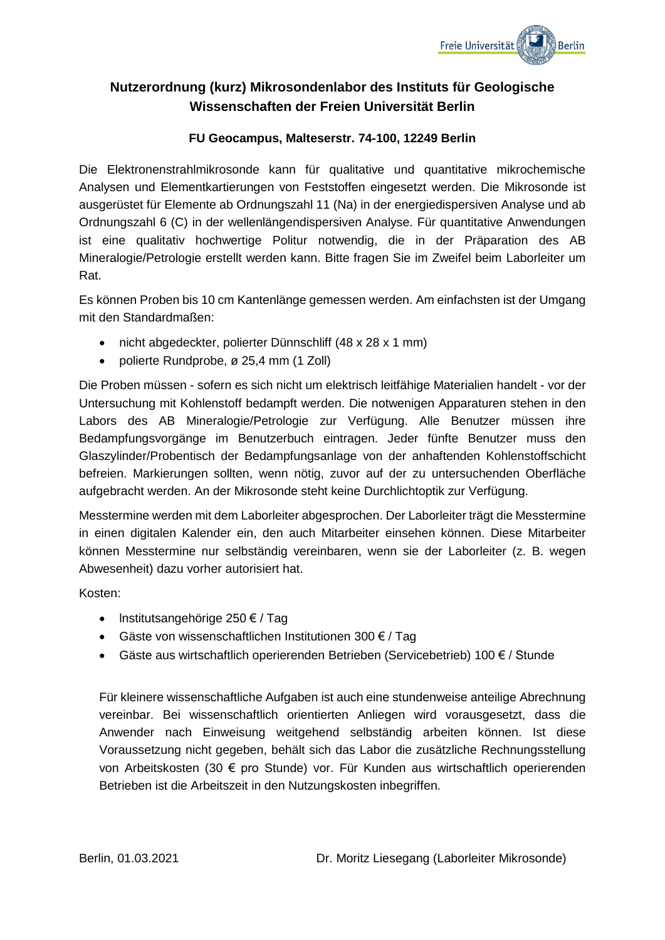

# **Nutzerordnung (kurz) Mikrosondenlabor des Instituts für Geologische Wissenschaften der Freien Universität Berlin**

# **FU Geocampus, Malteserstr. 74-100, 12249 Berlin**

Die Elektronenstrahlmikrosonde kann für qualitative und quantitative mikrochemische Analysen und Elementkartierungen von Feststoffen eingesetzt werden. Die Mikrosonde ist ausgerüstet für Elemente ab Ordnungszahl 11 (Na) in der energiedispersiven Analyse und ab Ordnungszahl 6 (C) in der wellenlängendispersiven Analyse. Für quantitative Anwendungen ist eine qualitativ hochwertige Politur notwendig, die in der Präparation des AB Mineralogie/Petrologie erstellt werden kann. Bitte fragen Sie im Zweifel beim Laborleiter um Rat.

Es können Proben bis 10 cm Kantenlänge gemessen werden. Am einfachsten ist der Umgang mit den Standardmaßen:

- nicht abgedeckter, polierter Dünnschliff (48 x 28 x 1 mm)
- polierte Rundprobe, ø 25.4 mm (1 Zoll)

Die Proben müssen - sofern es sich nicht um elektrisch leitfähige Materialien handelt - vor der Untersuchung mit Kohlenstoff bedampft werden. Die notwenigen Apparaturen stehen in den Labors des AB Mineralogie/Petrologie zur Verfügung. Alle Benutzer müssen ihre Bedampfungsvorgänge im Benutzerbuch eintragen. Jeder fünfte Benutzer muss den Glaszylinder/Probentisch der Bedampfungsanlage von der anhaftenden Kohlenstoffschicht befreien. Markierungen sollten, wenn nötig, zuvor auf der zu untersuchenden Oberfläche aufgebracht werden. An der Mikrosonde steht keine Durchlichtoptik zur Verfügung.

Messtermine werden mit dem Laborleiter abgesprochen. Der Laborleiter trägt die Messtermine in einen digitalen Kalender ein, den auch Mitarbeiter einsehen können. Diese Mitarbeiter können Messtermine nur selbständig vereinbaren, wenn sie der Laborleiter (z. B. wegen Abwesenheit) dazu vorher autorisiert hat.

Kosten:

- lnstitutsangehörige 250 € / Tag
- Gäste von wissenschaftlichen Institutionen 300 € / Tag
- Gäste aus wirtschaftlich operierenden Betrieben (Servicebetrieb) 100  $\epsilon$  / Stunde

Für kleinere wissenschaftliche Aufgaben ist auch eine stundenweise anteilige Abrechnung vereinbar. Bei wissenschaftlich orientierten Anliegen wird vorausgesetzt, dass die Anwender nach Einweisung weitgehend selbständig arbeiten können. Ist diese Voraussetzung nicht gegeben, behält sich das Labor die zusätzliche Rechnungsstellung von Arbeitskosten (30 € pro Stunde) vor. Für Kunden aus wirtschaftlich operierenden Betrieben ist die Arbeitszeit in den Nutzungskosten inbegriffen.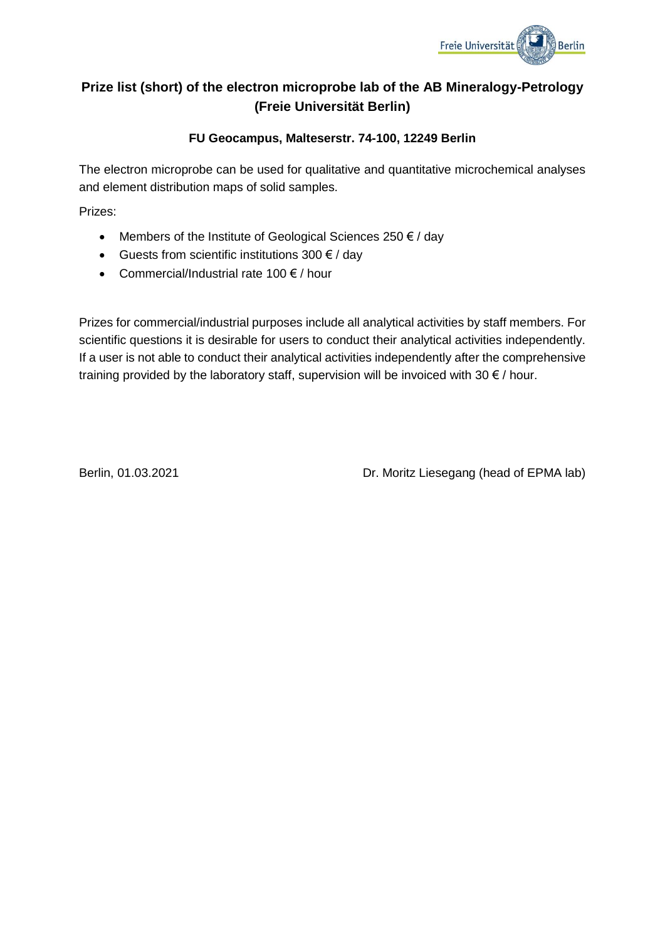

# **Prize list (short) of the electron microprobe lab of the AB Mineralogy-Petrology (Freie Universität Berlin)**

# **FU Geocampus, Malteserstr. 74-100, 12249 Berlin**

The electron microprobe can be used for qualitative and quantitative microchemical analyses and element distribution maps of solid samples.

Prizes:

- Members of the Institute of Geological Sciences 250  $\epsilon$  / day
- Guests from scientific institutions  $300 \text{ } \in /$  day
- Commercial/Industrial rate 100  $\notin$  / hour

Prizes for commercial/industrial purposes include all analytical activities by staff members. For scientific questions it is desirable for users to conduct their analytical activities independently. If a user is not able to conduct their analytical activities independently after the comprehensive training provided by the laboratory staff, supervision will be invoiced with 30  $\epsilon$  / hour.

Berlin, 01.03.2021 **Dr. Moritz Liesegang (head of EPMA lab)**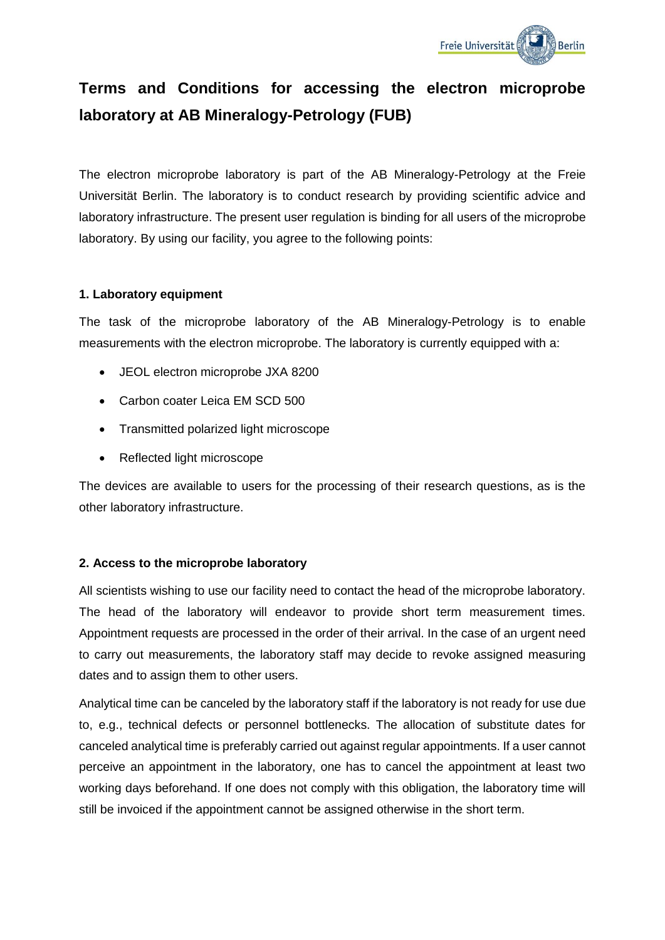

# **Terms and Conditions for accessing the electron microprobe laboratory at AB Mineralogy-Petrology (FUB)**

The electron microprobe laboratory is part of the AB Mineralogy-Petrology at the Freie Universität Berlin. The laboratory is to conduct research by providing scientific advice and laboratory infrastructure. The present user regulation is binding for all users of the microprobe laboratory. By using our facility, you agree to the following points:

#### **1. Laboratory equipment**

The task of the microprobe laboratory of the AB Mineralogy-Petrology is to enable measurements with the electron microprobe. The laboratory is currently equipped with a:

- JEOL electron microprobe JXA 8200
- Carbon coater Leica EM SCD 500
- Transmitted polarized light microscope
- Reflected light microscope

The devices are available to users for the processing of their research questions, as is the other laboratory infrastructure.

# **2. Access to the microprobe laboratory**

All scientists wishing to use our facility need to contact the head of the microprobe laboratory. The head of the laboratory will endeavor to provide short term measurement times. Appointment requests are processed in the order of their arrival. In the case of an urgent need to carry out measurements, the laboratory staff may decide to revoke assigned measuring dates and to assign them to other users.

Analytical time can be canceled by the laboratory staff if the laboratory is not ready for use due to, e.g., technical defects or personnel bottlenecks. The allocation of substitute dates for canceled analytical time is preferably carried out against regular appointments. If a user cannot perceive an appointment in the laboratory, one has to cancel the appointment at least two working days beforehand. If one does not comply with this obligation, the laboratory time will still be invoiced if the appointment cannot be assigned otherwise in the short term.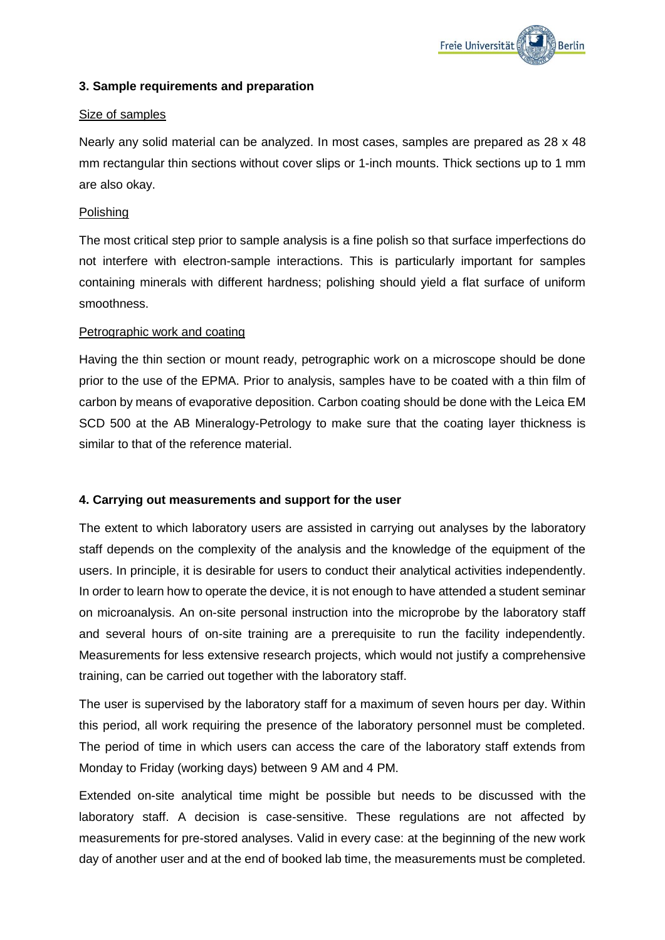

#### **3. Sample requirements and preparation**

#### Size of samples

Nearly any solid material can be analyzed. In most cases, samples are prepared as 28 x 48 mm rectangular thin sections without cover slips or 1-inch mounts. Thick sections up to 1 mm are also okay.

#### Polishing

The most critical step prior to sample analysis is a fine polish so that surface imperfections do not interfere with electron-sample interactions. This is particularly important for samples containing minerals with different hardness; polishing should yield a flat surface of uniform smoothness.

#### Petrographic work and coating

Having the thin section or mount ready, petrographic work on a microscope should be done prior to the use of the EPMA. Prior to analysis, samples have to be coated with a thin film of carbon by means of evaporative deposition. Carbon coating should be done with the Leica EM SCD 500 at the AB Mineralogy-Petrology to make sure that the coating layer thickness is similar to that of the reference material.

#### **4. Carrying out measurements and support for the user**

The extent to which laboratory users are assisted in carrying out analyses by the laboratory staff depends on the complexity of the analysis and the knowledge of the equipment of the users. In principle, it is desirable for users to conduct their analytical activities independently. In order to learn how to operate the device, it is not enough to have attended a student seminar on microanalysis. An on-site personal instruction into the microprobe by the laboratory staff and several hours of on-site training are a prerequisite to run the facility independently. Measurements for less extensive research projects, which would not justify a comprehensive training, can be carried out together with the laboratory staff.

The user is supervised by the laboratory staff for a maximum of seven hours per day. Within this period, all work requiring the presence of the laboratory personnel must be completed. The period of time in which users can access the care of the laboratory staff extends from Monday to Friday (working days) between 9 AM and 4 PM.

Extended on-site analytical time might be possible but needs to be discussed with the laboratory staff. A decision is case-sensitive. These regulations are not affected by measurements for pre-stored analyses. Valid in every case: at the beginning of the new work day of another user and at the end of booked lab time, the measurements must be completed.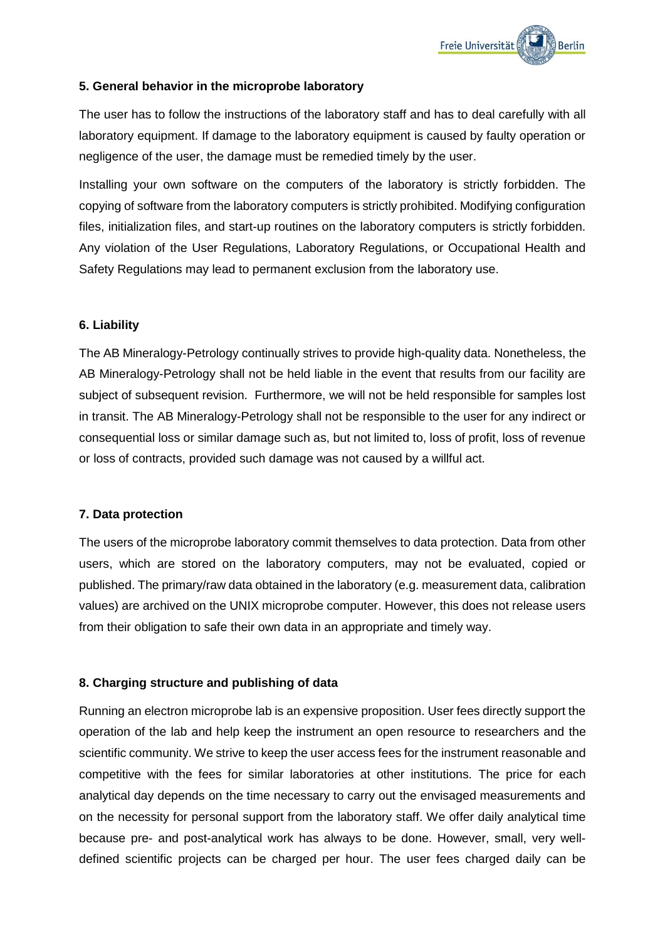

#### **5. General behavior in the microprobe laboratory**

The user has to follow the instructions of the laboratory staff and has to deal carefully with all laboratory equipment. If damage to the laboratory equipment is caused by faulty operation or negligence of the user, the damage must be remedied timely by the user.

Installing your own software on the computers of the laboratory is strictly forbidden. The copying of software from the laboratory computers is strictly prohibited. Modifying configuration files, initialization files, and start-up routines on the laboratory computers is strictly forbidden. Any violation of the User Regulations, Laboratory Regulations, or Occupational Health and Safety Regulations may lead to permanent exclusion from the laboratory use.

#### **6. Liability**

The AB Mineralogy-Petrology continually strives to provide high-quality data. Nonetheless, the AB Mineralogy-Petrology shall not be held liable in the event that results from our facility are subject of subsequent revision. Furthermore, we will not be held responsible for samples lost in transit. The AB Mineralogy-Petrology shall not be responsible to the user for any indirect or consequential loss or similar damage such as, but not limited to, loss of profit, loss of revenue or loss of contracts, provided such damage was not caused by a willful act.

#### **7. Data protection**

The users of the microprobe laboratory commit themselves to data protection. Data from other users, which are stored on the laboratory computers, may not be evaluated, copied or published. The primary/raw data obtained in the laboratory (e.g. measurement data, calibration values) are archived on the UNIX microprobe computer. However, this does not release users from their obligation to safe their own data in an appropriate and timely way.

# **8. Charging structure and publishing of data**

Running an electron microprobe lab is an expensive proposition. User fees directly support the operation of the lab and help keep the instrument an open resource to researchers and the scientific community. We strive to keep the user access fees for the instrument reasonable and competitive with the fees for similar laboratories at other institutions. The price for each analytical day depends on the time necessary to carry out the envisaged measurements and on the necessity for personal support from the laboratory staff. We offer daily analytical time because pre- and post-analytical work has always to be done. However, small, very welldefined scientific projects can be charged per hour. The user fees charged daily can be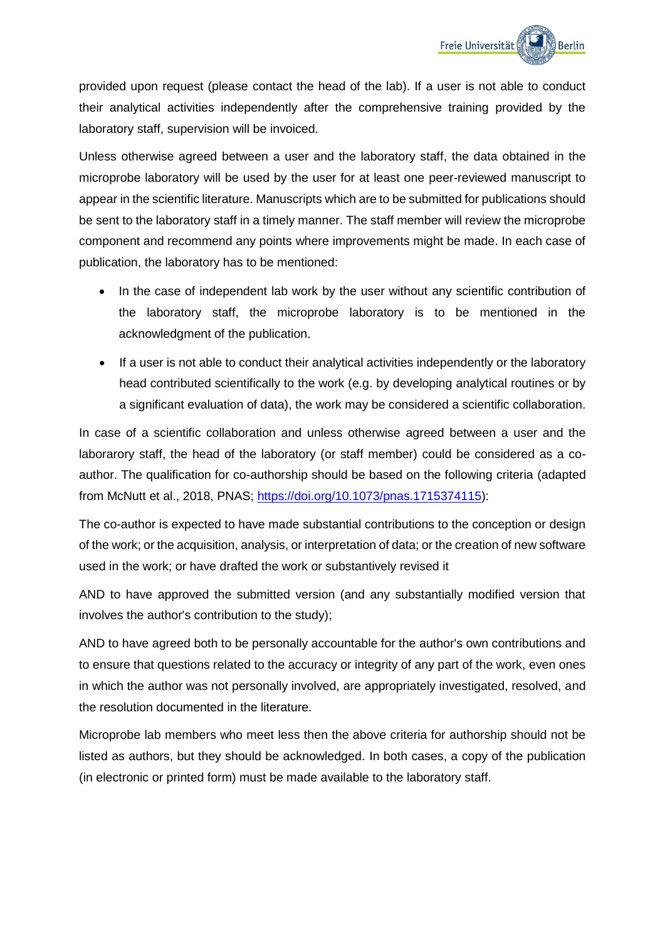provided upon request (please contact the head of the lab). If a user is not able to conduct their analytical activities independently after the comprehensive training provided by the laboratory staff, supervision will be invoiced.

Unless otherwise agreed between a user and the laboratory staff, the data obtained in the microprobe laboratory will be used by the user for at least one peer-reviewed manuscript to appear in the scientific literature. Manuscripts which are to be submitted for publications should be sent to the laboratory staff in a timely manner. The staff member will review the microprobe component and recommend any points where improvements might be made. In each case of publication, the laboratory has to be mentioned:

- In the case of independent lab work by the user without any scientific contribution of the laboratory staff, the microprobe laboratory is to be mentioned in the acknowledgment of the publication.
- If a user is not able to conduct their analytical activities independently or the laboratory head contributed scientifically to the work (e.g. by developing analytical routines or by a significant evaluation of data), the work may be considered a scientific collaboration.

In case of a scientific collaboration and unless otherwise agreed between a user and the laborarory staff, the head of the laboratory (or staff member) could be considered as a coauthor. The qualification for co-authorship should be based on the following criteria (adapted from McNutt et al., 2018, PNAS; [https://doi.org/10.1073/pnas.1715374115\)](https://doi.org/10.1073/pnas.1715374115):

The co-author is expected to have made substantial contributions to the conception or design of the work; or the acquisition, analysis, or interpretation of data; or the creation of new software used in the work; or have drafted the work or substantively revised it

AND to have approved the submitted version (and any substantially modified version that involves the author's contribution to the study);

AND to have agreed both to be personally accountable for the author's own contributions and to ensure that questions related to the accuracy or integrity of any part of the work, even ones in which the author was not personally involved, are appropriately investigated, resolved, and the resolution documented in the literature.

Microprobe lab members who meet less then the above criteria for authorship should not be listed as authors, but they should be acknowledged. In both cases, a copy of the publication (in electronic or printed form) must be made available to the laboratory staff.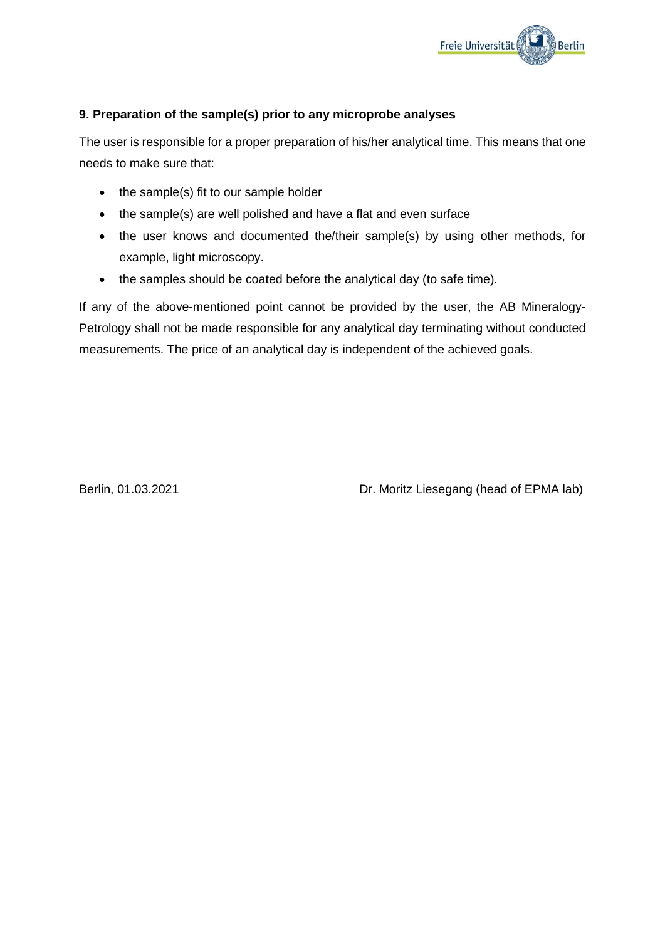

# **9. Preparation of the sample(s) prior to any microprobe analyses**

The user is responsible for a proper preparation of his/her analytical time. This means that one needs to make sure that:

- the sample(s) fit to our sample holder
- the sample(s) are well polished and have a flat and even surface
- the user knows and documented the/their sample(s) by using other methods, for example, light microscopy.
- the samples should be coated before the analytical day (to safe time).

If any of the above-mentioned point cannot be provided by the user, the AB Mineralogy-Petrology shall not be made responsible for any analytical day terminating without conducted measurements. The price of an analytical day is independent of the achieved goals.

Berlin, 01.03.2021 **Dr. Moritz Liesegang (head of EPMA lab)**